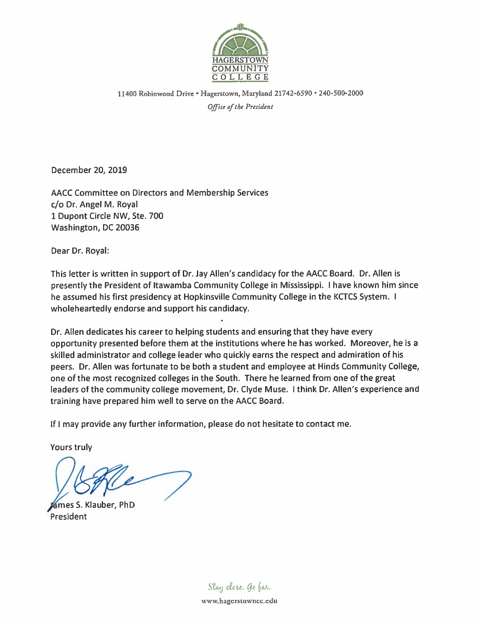

11400 Robinwood Drive • Hagerstown, Maryland 21742-6590 • 240-500-2000 Office of the President

December 20, 2019

AACC Committee on Directors and Membership Services c/o Dr. Angel M. Royal 1 Dupont Circle NW, Ste. 700 Washington, DC 20036

Dear Dr. Royal:

This letter is written in support of Dr. Jay Allen's candidacy for the AACC Board. Dr. Allen is presently the President of Itawamba Community College in Mississippi. I have known him since he assumed his first presidency at Hopkinsville Community College in the KCTCS System. I wholeheartedly endorse and support his candidacy.

Dr. Allen dedicates his career to helping students and ensuring that they have every opportunity presented before them at the institutions where he has worked. Moreover, he is a skilled administrator and college leader who quickly earns the respect and admiration of his peers. Dr. Allen was fortunate to be both a student and employee at Hinds Community College, one of the most recognized colleges in the South. There he learned from one of the great leaders of the community college movement, Dr. Clyde Muse. I think Dr. Allen's experience and training have prepared him well to serve on the AACC Board.

If I may provide any further information, please do not hesitate to contact me.

**Yours truly** 

ames S. Klauber, PhD President

Stay close. Go far.

www.hagerstowncc.edu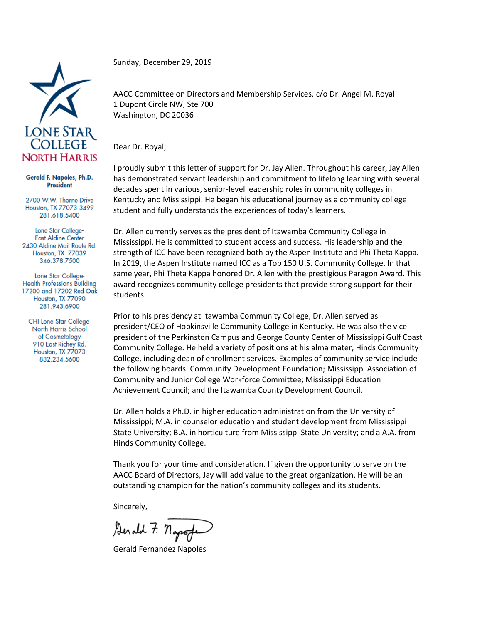

## Gerald F. Napoles, Ph.D. **President**

2700 W.W. Thorne Drive Houston, TX 77073-3499 281.618.5400

Lone Star College-**East Aldine Center** 2430 Aldine Mail Route Rd. Houston, TX 77039 346.378.7500

Lone Star College-**Health Professions Building** 17200 and 17202 Red Oak Houston, TX 77090 281.943.6900

CHI Lone Star College-North Harris School of Cosmetology 910 East Richey Rd. Houston, TX 77073 832.234.5600

Sunday, December 29, 2019

AACC Committee on Directors and Membership Services, c/o Dr. Angel M. Royal 1 Dupont Circle NW, Ste 700 Washington, DC 20036

Dear Dr. Royal;

I proudly submit this letter of support for Dr. Jay Allen. Throughout his career, Jay Allen has demonstrated servant leadership and commitment to lifelong learning with several decades spent in various, senior-level leadership roles in community colleges in Kentucky and Mississippi. He began his educational journey as a community college student and fully understands the experiences of today's learners.

Dr. Allen currently serves as the president of Itawamba Community College in Mississippi. He is committed to student access and success. His leadership and the strength of ICC have been recognized both by the Aspen Institute and Phi Theta Kappa. In 2019, the Aspen Institute named ICC as a Top 150 U.S. Community College. In that same year, Phi Theta Kappa honored Dr. Allen with the prestigious Paragon Award. This award recognizes community college presidents that provide strong support for their students.

Prior to his presidency at Itawamba Community College, Dr. Allen served as president/CEO of Hopkinsville Community College in Kentucky. He was also the vice president of the Perkinston Campus and George County Center of Mississippi Gulf Coast Community College. He held a variety of positions at his alma mater, Hinds Community College, including dean of enrollment services. Examples of community service include the following boards: Community Development Foundation; Mississippi Association of Community and Junior College Workforce Committee; Mississippi Education Achievement Council; and the Itawamba County Development Council.

Dr. Allen holds a Ph.D. in higher education administration from the University of Mississippi; M.A. in counselor education and student development from Mississippi State University; B.A. in horticulture from Mississippi State University; and a A.A. from Hinds Community College.

Thank you for your time and consideration. If given the opportunity to serve on the AACC Board of Directors, Jay will add value to the great organization. He will be an outstanding champion for the nation's community colleges and its students.

Sincerely,

Serald 7. napog

Gerald Fernandez Napoles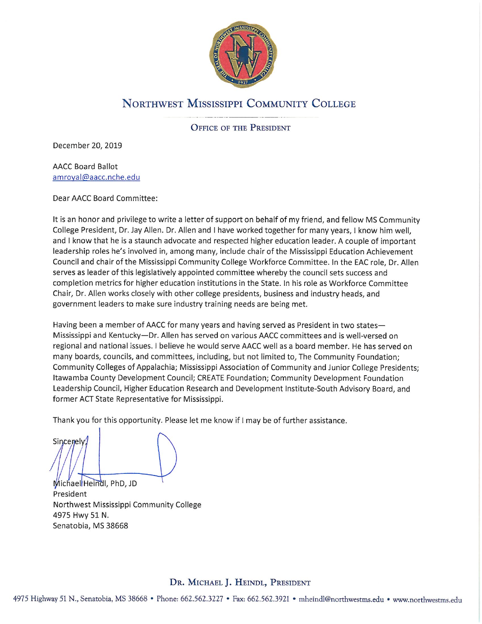

## NORTHWEST MISSISSIPPI COMMUNITY COLLEGE

**OFFICE OF THE PRESIDENT** 

December 20, 2019

**AACC Board Ballot** amroyal@aacc.nche.edu

Dear AACC Board Committee:

It is an honor and privilege to write a letter of support on behalf of my friend, and fellow MS Community College President, Dr. Jay Allen. Dr. Allen and I have worked together for many years, I know him well, and I know that he is a staunch advocate and respected higher education leader. A couple of important leadership roles he's involved in, among many, include chair of the Mississippi Education Achievement Council and chair of the Mississippi Community College Workforce Committee. In the EAC role, Dr. Allen serves as leader of this legislatively appointed committee whereby the council sets success and completion metrics for higher education institutions in the State. In his role as Workforce Committee Chair, Dr. Allen works closely with other college presidents, business and industry heads, and government leaders to make sure industry training needs are being met.

Having been a member of AACC for many years and having served as President in two states-Mississippi and Kentucky—Dr. Allen has served on various AACC committees and is well-versed on regional and national issues. I believe he would serve AACC well as a board member. He has served on many boards, councils, and committees, including, but not limited to, The Community Foundation; Community Colleges of Appalachia; Mississippi Association of Community and Junior College Presidents; Itawamba County Development Council; CREATE Foundation; Community Development Foundation Leadership Council, Higher Education Research and Development Institute-South Advisory Board, and former ACT State Representative for Mississippi.

Thank you for this opportunity. Please let me know if I may be of further assistance.

Sincenely

Michael Heindl, PhD, JD President Northwest Mississippi Community College 4975 Hwy 51 N. Senatobia, MS 38668